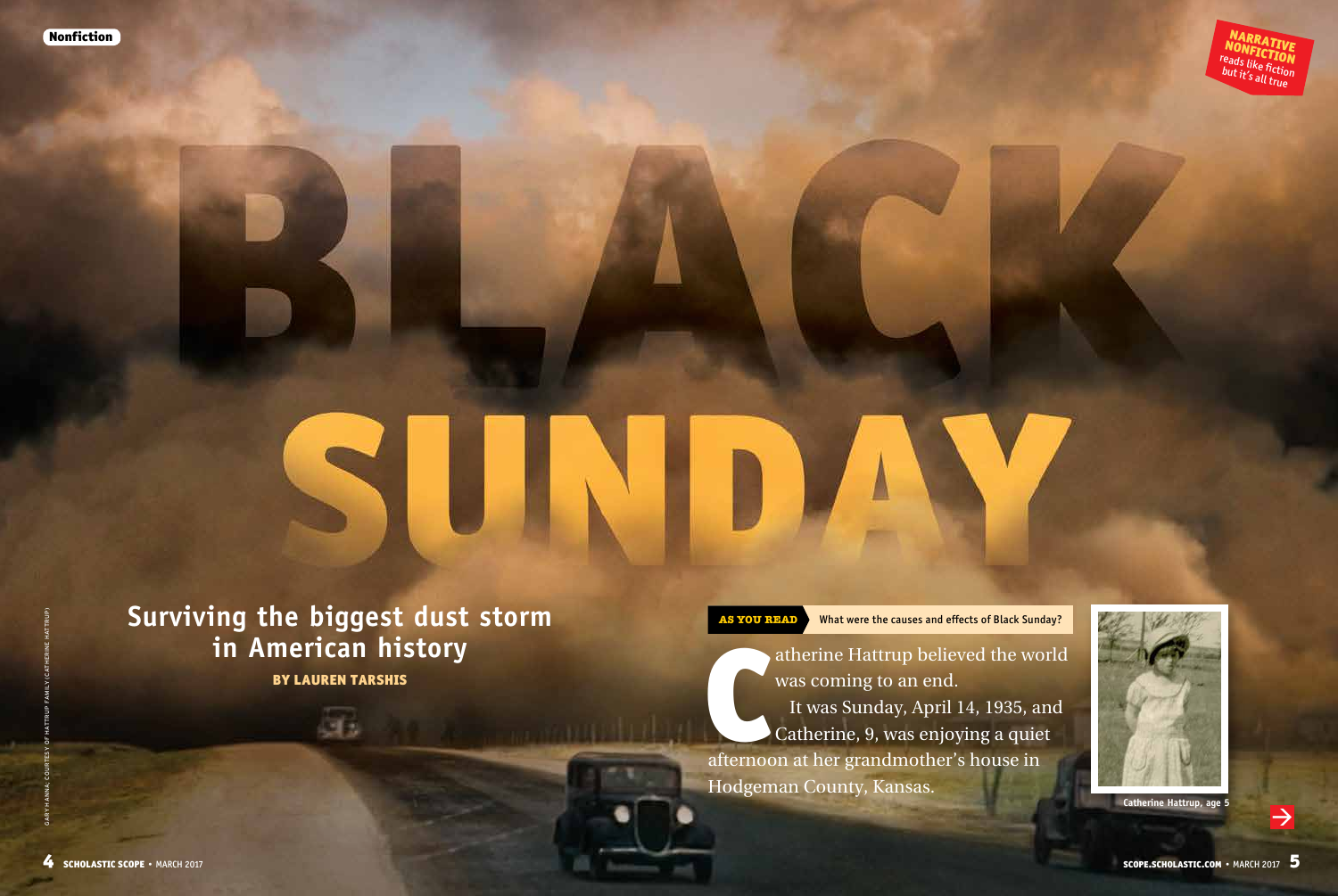

**Surviving the biggest dust storm in American history** BY LAUREN TARSHIS

ab.

**AS YOU READ** What were the causes and effects of Black Sunday?

atherine Hattrup believed the words was coming to an end.<br>It was Sunday, April 14, 1935, and Catherine, 9, was enjoying a quie afternoon at her grandmother's house in atherine Hattrup believed the world was coming to an end. It was Sunday, April 14, 1935, and Catherine, 9, was enjoying a quiet

Hodgeman County, Kansas.



**Catherine Hattrup, age 5**

 $\rightarrow$ 

GARY HANNA; COURTESY OF HATTRUP FAMILY (CATHERINE HATTRUP)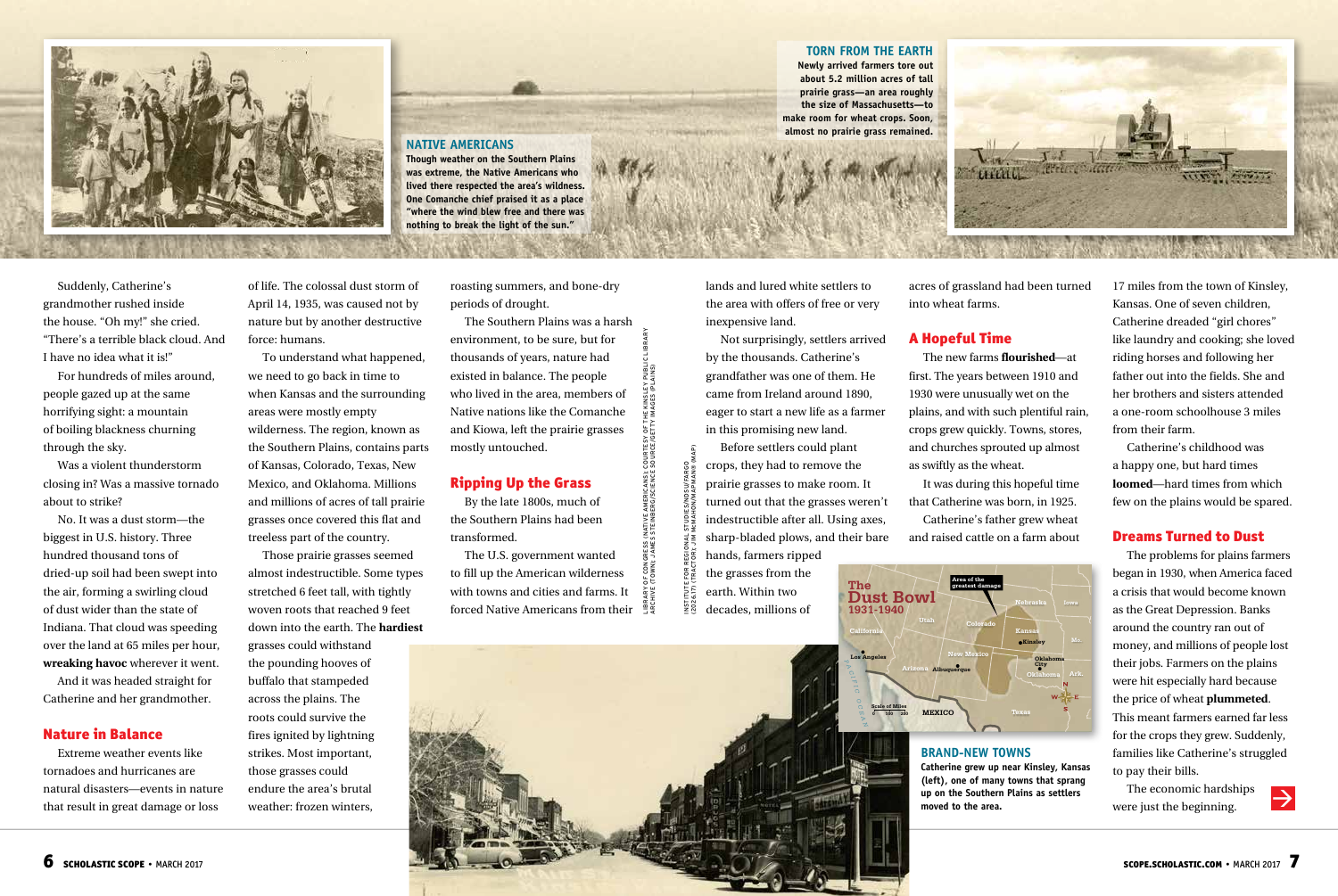

Suddenly, Catherine's grandmother rushed inside the house. "Oh my!" she cried. "There's a terrible black cloud. And I have no idea what it is!"

For hundreds of miles around, people gazed up at the same horrifying sight: a mountain of boiling blackness churning through the sky.

Was a violent thunderstorm closing in? Was a massive tornado about to strike?

No. It was a dust storm—the biggest in U.S. history. Three hundred thousand tons of dried-up soil had been swept into the air, forming a swirling cloud of dust wider than the state of Indiana. That cloud was speeding over the land at 65 miles per hour, **wreaking havoc** wherever it went.

And it was headed straight for Catherine and her grandmother.

## Nature in Balance

Extreme weather events like tornadoes and hurricanes are natural disasters—events in nature that result in great damage or loss

of life. The colossal dust storm of April 14, 1935, was caused not by nature but by another destructive force: humans.

we need to go back in time to when Kansas and the surrounding areas were mostly empty **sunt ationsed maios**  wilderness. The region, known as the Southern Plains, contains parts To understand what happened, of Kansas, Colorado, Texas, New Mexico, and Oklahoma. Millions and millions of acres of tall prairie grasses once covered this flat and treeless part of the country.

Those prairie grasses seemed almost indestructible. Some types stretched 6 feet tall, with tightly woven roots that reached 9 feet down into the earth. The **hardiest**

grasses could withstand the pounding hooves of buffalo that stampeded across the plains. The roots could survive the fires ignited by lightning strikes. Most important, those grasses could endure the area's brutal weather: frozen winters,

roasting summers, and bone-dry periods of drought.

The Southern Plains was a harsh environment, to be sure, but for thousands of years, nature had existed in balance. The people who lived in the area, members of Native nations like the Comanche and Kiowa, left the prairie grasses mostly untouched.

## Ripping Up the Grass

By the late 1800s, much of the Southern Plains had been transformed.

The U.S. government wanted to fill up the American wilderness with towns and cities and farms. It forced Native Americans from their

## **TORN FROM THE EARTH**

**Newly arrived farmers tore out about 5.2 million acres of tall prairie grass—an area roughly the size of Massachusetts—to make room for wheat crops. Soon, almost no prairie grass remained.**



lands and lured white settlers to the area with offers of free or very inexpensive land.

Not surprisingly, settlers arrived by the thousands. Catherine's grandfather was one of them. He came from Ireland around 1890, eager to start a new life as a farmer in this promising new land.

Before settlers could plant crops, they had to remove the prairie grasses to make room. It turned out that the grasses weren't indestructible after all. Using axes, sharp-bladed plows, and their bare hands, farmers ripped

(2026.17) (TRACTOR); JIM McMAHON/MAPMAN® (MAP) **PAC** the grasses from the earth. Within two **SO2** decades, millions of

INSTITUTE FOR REGIONAL STUDIES/NDSU/FARGO

LIBRARY OF CONGRESS (NATIVE AMERICANS); COURTESY OF THE KINSLEY PUBLIC LIBRARY ARCHIVE (TOWN); JAMES STEINBERG/SCIENCE SOURCE/GETTY IMAGES (PLAINS)IATIVE AMERICANS);<br>STEINBERG/SCIENCE

acres of grassland had been turned into wheat farms.

## A Hopeful Time

The new farms **flourished**—at first. The years between 1910 and 1930 were unusually wet on the plains, and with such plentiful rain, crops grew quickly. Towns, stores, and churches sprouted up almost as swiftly as the wheat.

It was during this hopeful time that Catherine was born, in 1925. Catherine's father grew wheat

and raised cattle on a farm about



## **BRAND-NEW TOWNS**

moved to the area. **Catherine grew up near Kinsley, Kansas (left), one of many towns that sprang up on the Southern Plains as settlers** 

17 miles from the town of Kinsley, Kansas. One of seven children, Catherine dreaded "girl chores" like laundry and cooking; she loved riding horses and following her father out into the fields. She and her brothers and sisters attended a one-room schoolhouse 3 miles from their farm.

Catherine's childhood was a happy one, but hard times **loomed**—hard times from which few on the plains would be spared.

## Dreams Turned to Dust

The problems for plains farmers began in 1930, when America faced a crisis that would become known as the Great Depression. Banks around the country ran out of money, and millions of people lost their jobs. Farmers on the plains were hit especially hard because the price of wheat **plummeted**. This meant farmers earned far less for the crops they grew. Suddenly, families like Catherine's struggled to pay their bills.

The economic hardships Ine economic hardships were just the beginning.

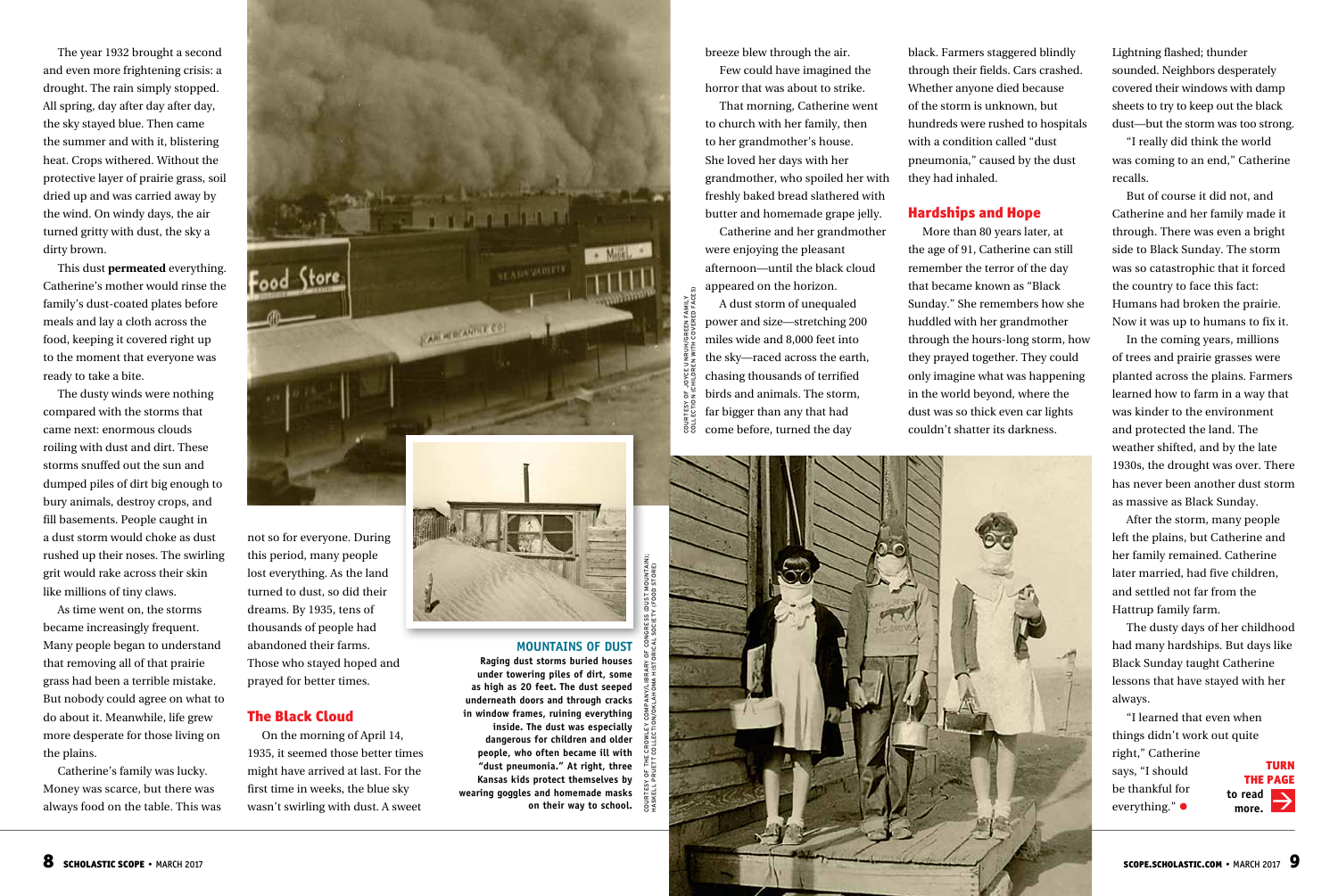The year 1932 brought a second and even more frightening crisis: a drought. The rain simply stopped. All spring, day after day after day, the sky stayed blue. Then came the summer and with it, blistering heat. Crops withered. Without the protective layer of prairie grass, soil dried up and was carried away by the wind. On windy days, the air turned gritty with dust, the sky a dirty brown.

This dust **permeated** everything. Catherine's mother would rinse the family's dust-coated plates before meals and lay a cloth across the food, keeping it covered right up to the moment that everyone was ready to take a bite.

The dusty winds were nothing compared with the storms that came next: enormous clouds roiling with dust and dirt. These storms snuffed out the sun and dumped piles of dirt big enough to bury animals, destroy crops, and fill basements. People caught in a dust storm would choke as dust rushed up their noses. The swirling grit would rake across their skin like millions of tiny claws.

As time went on, the storms became increasingly frequent. Many people began to understand that removing all of that prairie grass had been a terrible mistake. But nobody could agree on what to do about it. Meanwhile, life grew more desperate for those living on the plains.

Catherine's family was lucky. Money was scarce, but there was always food on the table. This was



this period, many people lost everything. As the land turned to dust, so did their dreams. By 1935, tens of thousands of people had abandoned their farms. Those who stayed hoped and prayed for better times.

# The Black Cloud

On the morning of April 14, 1935, it seemed those better times might have arrived at last. For the first time in weeks, the blue sky wasn't swirling with dust. A sweet

breeze blew through the air.

Few could have imagined the horror that was about to strike.

That morning, Catherine went to church with her family, then to her grandmother's house. She loved her days with her grandmother, who spoiled her with freshly baked bread slathered with butter and homemade grape jelly.

Catherine and her grandmother were enjoying the pleasant afternoon—until the black cloud appeared on the horizon.

A dust storm of unequaled power and size—stretching 200 miles wide and 8,000 feet into the sky—raced across the earth, chasing thousands of terrified birds and animals. The storm, COLLECTIC<br>COLLECTIC far bigger than any that had come before, turned the day

COURTESY OF JOYCE UNRUH/GREEN FAMILY COLLECTION (CHILDREN WITH COVERED FACES)

 $\tilde{g}$ EEN FAMILY<br>VERED FACE

**MOUNTAINS OF DUST Raging dust storms buried houses under towering piles of dirt, some as high as 20 feet. The dust seeped underneath doors and through cracks in window frames, ruining everything inside. The dust was especially dangerous for children and older people, who often became ill with "dust pneumonia." At right, three Kansas kids protect themselves by wearing goggles and homemade masks** 

**on their way to school.** 



black. Farmers staggered blindly through their fields. Cars crashed. Whether anyone died because of the storm is unknown, but hundreds were rushed to hospitals with a condition called "dust pneumonia," caused by the dust they had inhaled.

# Hardships and Hope

More than 80 years later, at the age of 91, Catherine can still remember the terror of the day that became known as "Black Sunday." She remembers how she huddled with her grandmother through the hours-long storm, how they prayed together. They could only imagine what was happening in the world beyond, where the dust was so thick even car lights couldn't shatter its darkness.

Lightning flashed; thunder sounded. Neighbors desperately covered their windows with damp sheets to try to keep out the black dust—but the storm was too strong.

"I really did think the world was coming to an end," Catherine recalls.

But of course it did not, and Catherine and her family made it through. There was even a bright side to Black Sunday. The storm was so catastrophic that it forced the country to face this fact: Humans had broken the prairie. Now it was up to humans to fix it.

In the coming years, millions of trees and prairie grasses were planted across the plains. Farmers learned how to farm in a way that was kinder to the environment and protected the land. The weather shifted, and by the late 1930s, the drought was over. There has never been another dust storm as massive as Black Sunday.

After the storm, many people left the plains, but Catherine and her family remained. Catherine later married, had five children, and settled not far from the Hattrup family farm.

The dusty days of her childhood had many hardships. But days like Black Sunday taught Catherine lessons that have stayed with her always.

"I learned that even when things didn't work out quite right," Catherine says, "I should be thankful for everything." • THE PAGE **to read more.**

TURN